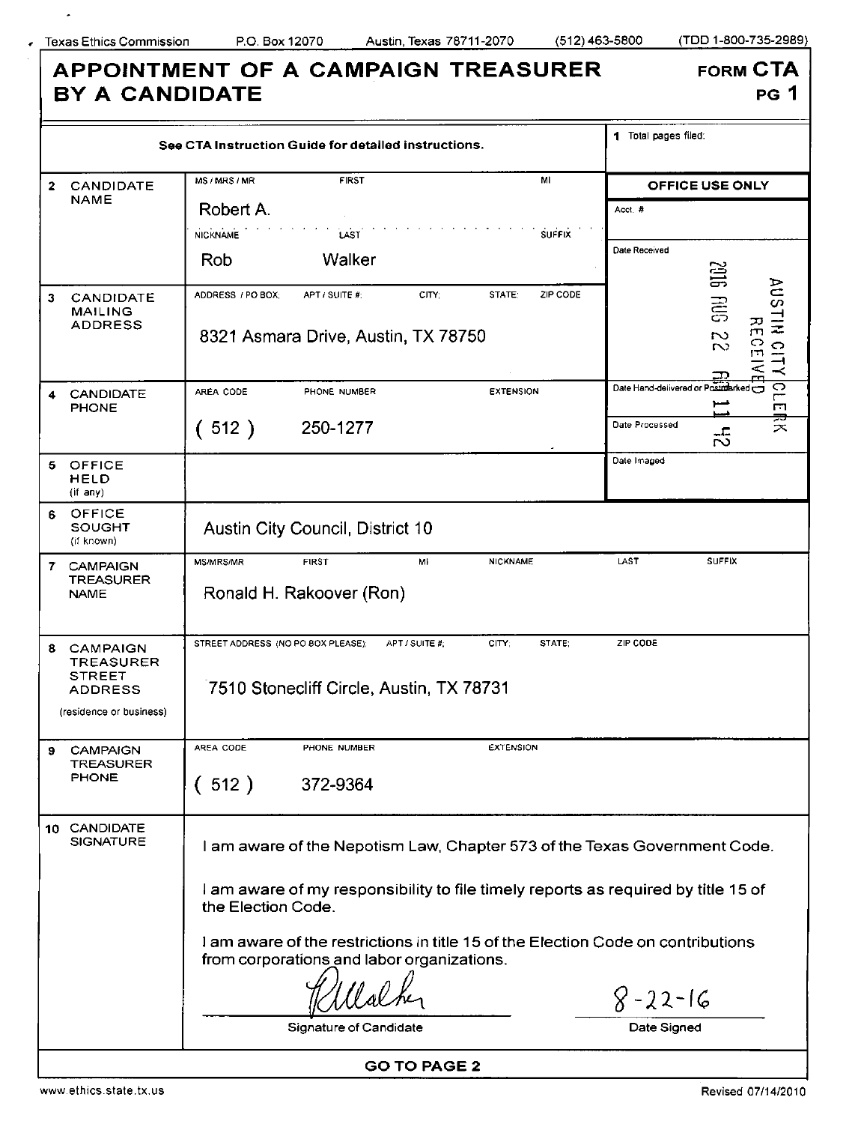$\epsilon$ 

 $\epsilon$ 

**B Y A CANDIDATE** 

**APPOINTMENT OF A CAMPAIGN TREASURER** 

**FORM CTA** 

PG 1

| See CTA Instruction Guide for detailed instructions. |                                                                        |                                                                                                                                 |                                                       |       |                    | 1 Total pages filed:               |                                                                           |  |
|------------------------------------------------------|------------------------------------------------------------------------|---------------------------------------------------------------------------------------------------------------------------------|-------------------------------------------------------|-------|--------------------|------------------------------------|---------------------------------------------------------------------------|--|
| $\mathbf{2}$                                         | <b>CANDIDATE</b><br><b>NAME</b>                                        | MS / MRS / MR                                                                                                                   | <b>FIRST</b>                                          |       | MI                 |                                    | OFFICE USE ONLY                                                           |  |
|                                                      |                                                                        | Robert A.                                                                                                                       |                                                       |       |                    | Acct.#                             |                                                                           |  |
|                                                      |                                                                        | <b>NICKNAME</b>                                                                                                                 | LAST                                                  |       | <b>SUFFIX</b>      | Date Received                      |                                                                           |  |
|                                                      |                                                                        | <b>Rob</b>                                                                                                                      | Walker                                                |       |                    |                                    | <b>SIDS</b>                                                               |  |
| 3.                                                   | CANDIDATE<br><b>MAILING</b><br><b>ADDRESS</b>                          | ADDRESS / PO BOX:                                                                                                               | APT / SUITE #:<br>8321 Asmara Drive, Austin, TX 78750 | CITY: | ZIP CODE<br>STATE: |                                    | <b>AUSTIN</b><br>高D<br>꼮<br>$\overline{\mathcal{D}}$<br>.<br>הו<br>$\sim$ |  |
|                                                      |                                                                        |                                                                                                                                 |                                                       |       |                    |                                    | $\frac{1}{2}$<br>⋜                                                        |  |
| 4                                                    | <b>CANDIDATE</b><br><b>PHONE</b>                                       | AREA CODE                                                                                                                       | PHONE NUMBER                                          |       | <b>EXTENSION</b>   | Date Hand-delivered or Posinderked | $\overline{\circ}$<br>┍╼<br>м                                             |  |
|                                                      |                                                                        | 512)                                                                                                                            | 250-1277                                              |       |                    | Date Processed                     | ₹<br>공                                                                    |  |
| 5.                                                   | OFFICE<br><b>HELD</b><br>(if any)                                      |                                                                                                                                 |                                                       |       |                    | Date Imaged                        |                                                                           |  |
| 6                                                    | OFFICE<br><b>SOUGHT</b><br>(if known)                                  |                                                                                                                                 | Austin City Council, District 10                      |       |                    |                                    |                                                                           |  |
| 7                                                    | <b>CAMPAIGN</b><br><b>TREASURER</b><br><b>NAME</b>                     | <b>MS/MRS/MR</b>                                                                                                                | <b>FIRST</b><br>Ronald H. Rakoover (Ron)              | MI    | <b>NICKNAME</b>    | LAST                               | <b>SUFFIX</b>                                                             |  |
| 8                                                    | <b>CAMPAIGN</b><br><b>TREASURER</b><br><b>STREET</b><br><b>ADDRESS</b> | STREET ADDRESS (NO PO BOX PLEASE):<br>APT / SUITE #;<br>CITY;<br>STATE:<br>ZIP CODE<br>7510 Stonecliff Circle, Austin, TX 78731 |                                                       |       |                    |                                    |                                                                           |  |
| (residence or business)                              |                                                                        |                                                                                                                                 |                                                       |       |                    |                                    |                                                                           |  |
|                                                      | <b>CAMPAIGN</b><br><b>TREASURER</b><br><b>PHONE</b>                    | AREA CODE                                                                                                                       | PHONE NUMBER                                          |       | <b>EXTENSION</b>   |                                    |                                                                           |  |
|                                                      |                                                                        | (512)                                                                                                                           | 372-9364                                              |       |                    |                                    |                                                                           |  |
|                                                      | 10 CANDIDATE<br><b>SIGNATURE</b>                                       | I am aware of the Nepotism Law, Chapter 573 of the Texas Government Code.                                                       |                                                       |       |                    |                                    |                                                                           |  |
|                                                      |                                                                        | I am aware of my responsibility to file timely reports as required by title 15 of<br>the Election Code.                         |                                                       |       |                    |                                    |                                                                           |  |
|                                                      |                                                                        | I am aware of the restrictions in title 15 of the Election Code on contributions<br>from corporations and labor organizations.  |                                                       |       |                    |                                    |                                                                           |  |
|                                                      |                                                                        |                                                                                                                                 |                                                       |       |                    | $8 - 22 - 16$                      |                                                                           |  |
|                                                      |                                                                        |                                                                                                                                 | Signature of Candidate                                |       |                    | Date Signed                        |                                                                           |  |

GO TO PAGE 2